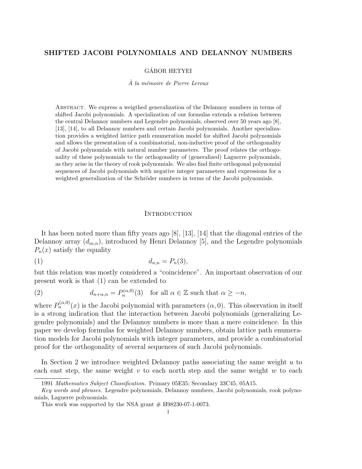# SHIFTED JACOBI POLYNOMIALS AND DELANNOY NUMBERS

#### GÁBOR HETYEI

#### $\dot{A}$  la mémoire de Pierre Leroux

Abstract. We express a weigthed generalization of the Delannoy numbers in terms of shifted Jacobi polynomials. A specialization of our formulas extends a relation between the central Delannoy numbers and Legendre polynomials, observed over 50 years ago [8], [13], [14], to all Delannoy numbers and certain Jacobi polynomials. Another specialization provides a weighted lattice path enumeration model for shifted Jacobi polynomials and allows the presentation of a combinatorial, non-inductive proof of the orthogonality of Jacobi polynomials with natural number parameters. The proof relates the orthogonality of these polynomials to the orthogonality of (generalized) Laguerre polynomials, as they arise in the theory of rook polynomials. We also find finite orthogonal polynomial sequences of Jacobi polynomials with negative integer parameters and expressions for a weighted generalization of the Schröder numbers in terms of the Jacobi polynomials.

#### **INTRODUCTION**

It has been noted more than fifty years ago [8], [13], [14] that the diagonal entries of the Delannoy array  $(d_{m,n})$ , introduced by Henri Delannoy [5], and the Legendre polynomials  $P_n(x)$  satisfy the equality

$$
(1) \t\t d_{n,n} = P_n(3),
$$

but this relation was mostly considered a "coincidence". An important observation of our present work is that (1) can be extended to

(2) 
$$
d_{n+\alpha,n} = P_n^{(\alpha,0)}(3) \text{ for all } \alpha \in \mathbb{Z} \text{ such that } \alpha \ge -n,
$$

where  $P_n^{(\alpha,0)}(x)$  is the Jacobi polynomial with parameters  $(\alpha,0)$ . This observation in itself is a strong indication that the interaction between Jacobi polynomials (generalizing Legendre polynomials) and the Delannoy numbers is more than a mere coincidence. In this paper we develop formulas for weighted Delannoy numbers, obtain lattice path enumeration models for Jacobi polynomials with integer parameters, and provide a combinatorial proof for the orthogonality of several sequences of such Jacobi polynomials.

In Section 2 we introduce weighted Delannoy paths associating the same weight u to each east step, the same weight  $v$  to each north step and the same weight  $w$  to each

<sup>1991</sup> Mathematics Subject Classification. Primary 05E35; Secondary 33C45, 05A15.

Key words and phrases. Legendre polynomials, Delannoy numbers, Jacobi polynomials, rook polynomials, Laguerre polynomials.

This work was supported by the NSA grant  $#$  H98230-07-1-0073.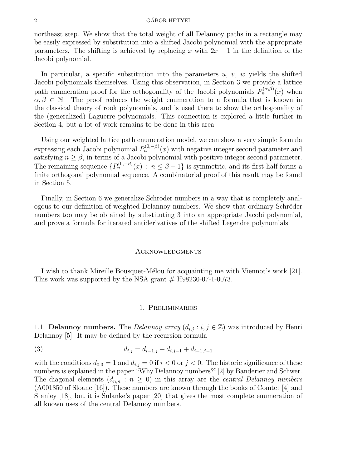#### $\alpha$  GÁBOR HETYEI

northeast step. We show that the total weight of all Delannoy paths in a rectangle may be easily expressed by substitution into a shifted Jacobi polynomial with the appropriate parameters. The shifting is achieved by replacing x with  $2x - 1$  in the definition of the Jacobi polynomial.

In particular, a specific substitution into the parameters  $u, v, w$  yields the shifted Jacobi polynomials themselves. Using this observation, in Section 3 we provide a lattice path enumeration proof for the orthogonality of the Jacobi polynomials  $P_n^{(\alpha,\beta)}(x)$  when  $\alpha, \beta \in \mathbb{N}$ . The proof reduces the weight enumeration to a formula that is known in the classical theory of rook polynomials, and is used there to show the orthogonality of the (generalized) Laguerre polynomials. This connection is explored a little further in Section 4, but a lot of work remains to be done in this area.

Using our weighted lattice path enumeration model, we can show a very simple formula expressing each Jacobi polynomial  $P_n^{(0,-\beta)}(x)$  with negative integer second parameter and satisfying  $n > \beta$ , in terms of a Jacobi polynomial with positive integer second parameter. The remaining sequence  $\{P_n^{(0,-\beta)}(x) : n \leq \beta - 1\}$  is symmetric, and its first half forms a finite orthogonal polynomial sequence. A combinatorial proof of this result may be found in Section 5.

Finally, in Section 6 we generalize Schröder numbers in a way that is completely analogous to our definition of weighted Delannoy numbers. We show that ordinary Schröder numbers too may be obtained by substituting 3 into an appropriate Jacobi polynomial, and prove a formula for iterated antiderivatives of the shifted Legendre polynomials.

#### **ACKNOWLEDGMENTS**

I wish to thank Mireille Bousquet-Mélou for acquainting me with Viennot's work [21]. This work was supported by the NSA grant  $#$  H98230-07-1-0073.

#### 1. Preliminaries

1.1. Delannoy numbers. The Delannoy array  $(d_{i,j}:i,j \in \mathbb{Z})$  was introduced by Henri Delannoy [5]. It may be defined by the recursion formula

$$
(3) \t d_{i,j} = d_{i-1,j} + d_{i,j-1} + d_{i-1,j-1}
$$

with the conditions  $d_{0,0} = 1$  and  $d_{i,j} = 0$  if  $i < 0$  or  $j < 0$ . The historic significance of these numbers is explained in the paper "Why Delannoy numbers?"[2] by Banderier and Schwer. The diagonal elements  $(d_{n,n} : n \geq 0)$  in this array are the *central Delannoy numbers* (A001850 of Sloane [16]). These numbers are known through the books of Comtet [4] and Stanley [18], but it is Sulanke's paper [20] that gives the most complete enumeration of all known uses of the central Delannoy numbers.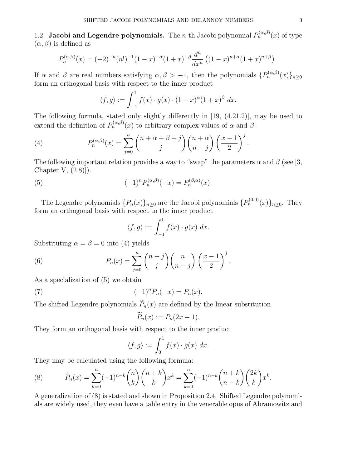1.2. Jacobi and Legendre polynomials. The *n*-th Jacobi polynomial  $P_n^{(\alpha,\beta)}(x)$  of type  $(\alpha, \beta)$  is defined as

$$
P_n^{(\alpha,\beta)}(x) = (-2)^{-n} (n!)^{-1} (1-x)^{-\alpha} (1+x)^{-\beta} \frac{d^n}{dx^n} ((1-x)^{n+\alpha} (1+x)^{n+\beta}).
$$

If  $\alpha$  and  $\beta$  are real numbers satisfying  $\alpha, \beta > -1$ , then the polynomials  $\{P_n^{(\alpha,\beta)}(x)\}_{n\geq 0}$ form an orthogonal basis with respect to the inner product

$$
\langle f, g \rangle := \int_{-1}^{1} f(x) \cdot g(x) \cdot (1 - x)^{\alpha} (1 + x)^{\beta} dx.
$$

The following formula, stated only slightly differently in [19, (4.21.2)], may be used to extend the definition of  $P_n^{(\alpha,\beta)}(x)$  to arbitrary complex values of  $\alpha$  and  $\beta$ :

(4) 
$$
P_n^{(\alpha,\beta)}(x) = \sum_{j=0}^n {n+\alpha+\beta+j \choose j} {n+\alpha \choose n-j} \left(\frac{x-1}{2}\right)^j
$$

The following important relation provides a way to "swap" the parameters  $\alpha$  and  $\beta$  (see [3, Chapter V, (2.8)]).

(5) 
$$
(-1)^n P_n^{(\alpha,\beta)}(-x) = P_n^{(\beta,\alpha)}(x).
$$

The Legendre polynomials  $\{P_n(x)\}_{n\geq 0}$  are the Jacobi polynomials  $\{P_n^{(0,0)}(x)\}_{n\geq 0}$ . They form an orthogonal basis with respect to the inner product

$$
\langle f, g \rangle := \int_{-1}^{1} f(x) \cdot g(x) \, dx.
$$

Substituting  $\alpha = \beta = 0$  into (4) yields

(6) 
$$
P_n(x) = \sum_{j=0}^n {n+j \choose j} {n \choose n-j} \left(\frac{x-1}{2}\right)^j.
$$

As a specialization of (5) we obtain

(7) 
$$
(-1)^n P_n(-x) = P_n(x).
$$

The shifted Legendre polynomials  $\widetilde{P}_n(x)$  are defined by the linear substitution

$$
\widetilde{P}_n(x) := P_n(2x - 1).
$$

They form an orthogonal basis with respect to the inner product

$$
\langle f, g \rangle := \int_0^1 f(x) \cdot g(x) \, dx.
$$

They may be calculated using the following formula:

(8) 
$$
\widetilde{P}_n(x) = \sum_{k=0}^n (-1)^{n-k} \binom{n}{k} \binom{n+k}{k} x^k = \sum_{k=0}^n (-1)^{n-k} \binom{n+k}{n-k} \binom{2k}{k} x^k.
$$

A generalization of (8) is stated and shown in Proposition 2.4. Shifted Legendre polynomials are widely used, they even have a table entry in the venerable opus of Abramowitz and

.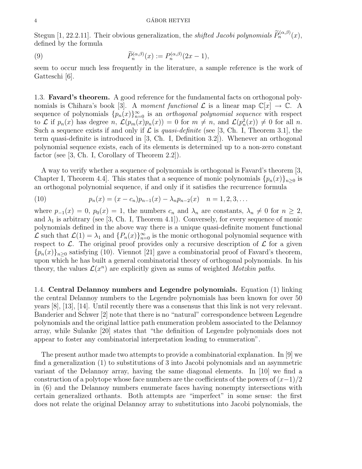#### 4 GÁBOR HETYEI

Stegun [1, 22.2.11]. Their obvious generalization, the *shifted Jacobi polynomials*  $\widetilde{P}_n^{(\alpha,\beta)}(x)$ , defined by the formula

(9) 
$$
\widetilde{P}_n^{(\alpha,\beta)}(x) := P_n^{(\alpha,\beta)}(2x-1),
$$

seem to occur much less frequently in the literature, a sample reference is the work of Gatteschi [6].

1.3. Favard's theorem. A good reference for the fundamental facts on orthogonal polynomials is Chihara's book [3]. A moment functional  $\mathcal L$  is a linear map  $\mathbb C[x] \to \mathbb C$ . A sequence of polynomials  ${p_n(x)}_{n=0}^\infty$  is an *orthogonal polynomial sequence* with respect to L if  $p_n(x)$  has degree n,  $\mathcal{L}(p_m(x)p_n(x)) = 0$  for  $m \neq n$ , and  $\mathcal{L}(p_n(x)) \neq 0$  for all n. Such a sequence exists if and only if  $\mathcal L$  is *quasi-definite* (see [3, Ch. I, Theorem 3.1], the term quasi-definite is introduced in [3, Ch. I, Definition 3.2]). Whenever an orthogonal polynomial sequence exists, each of its elements is determined up to a non-zero constant factor (see [3, Ch. I, Corollary of Theorem 2.2]).

A way to verify whether a sequence of polynomials is orthogonal is Favard's theorem [3, Chapter I, Theorem 4.4. This states that a sequence of monic polynomials  ${p_n(x)}_{n>0}$  is an orthogonal polynomial sequence, if and only if it satisfies the recurrence formula

(10) 
$$
p_n(x) = (x - c_n)p_{n-1}(x) - \lambda_n p_{n-2}(x) \quad n = 1, 2, 3, ...
$$

where  $p_{-1}(x) = 0$ ,  $p_0(x) = 1$ , the numbers  $c_n$  and  $\lambda_n$  are constants,  $\lambda_n \neq 0$  for  $n \geq 2$ , and  $\lambda_1$  is arbitrary (see [3, Ch. I, Theorem 4.1]). Conversely, for every sequence of monic polynomials defined in the above way there is a unique quasi-definite moment functional L such that  $\mathcal{L}(1) = \lambda_1$  and  $\{P_n(x)\}_{n=0}^{\infty}$  is the monic orthogonal polynomial sequence with respect to  $\mathcal{L}$ . The original proof provides only a recursive description of  $\mathcal{L}$  for a given  ${p_n(x)}_{n\geq 0}$  satisfying (10). Viennot [21] gave a combinatorial proof of Favard's theorem, upon which he has built a general combinatorial theory of orthogonal polynomials. In his theory, the values  $\mathcal{L}(x^n)$  are explicitly given as sums of weighted *Motzkin paths*.

1.4. Central Delannoy numbers and Legendre polynomials. Equation (1) linking the central Delannoy numbers to the Legendre polynomials has been known for over 50 years [8], [13], [14]. Until recently there was a consensus that this link is not very relevant. Banderier and Schwer [2] note that there is no "natural" correspondence between Legendre polynomials and the original lattice path enumeration problem associated to the Delannoy array, while Sulanke [20] states that "the definition of Legendre polynomials does not appear to foster any combinatorial interpretation leading to enumeration".

The present author made two attempts to provide a combinatorial explanation. In [9] we find a generalization (1) to substitutions of 3 into Jacobi polynomials and an asymmetric variant of the Delannoy array, having the same diagonal elements. In [10] we find a construction of a polytope whose face numbers are the coefficients of the powers of  $(x-1)/2$ in (6) and the Delannoy numbers enumerate faces having nonempty intersections with certain generalized orthants. Both attempts are "imperfect" in some sense: the first does not relate the original Delannoy array to substitutions into Jacobi polynomials, the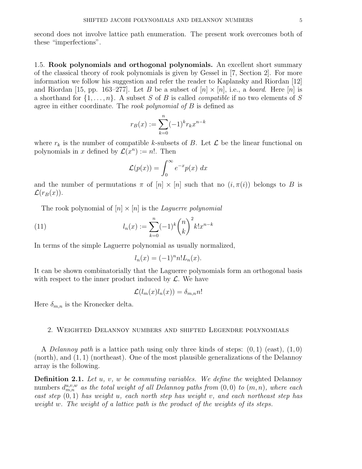second does not involve lattice path enumeration. The present work overcomes both of these "imperfections".

1.5. Rook polynomials and orthogonal polynomials. An excellent short summary of the classical theory of rook polynomials is given by Gessel in [7, Section 2]. For more information we follow his suggestion and refer the reader to Kaplansky and Riordan [12] and Riordan [15, pp. 163–277]. Let B be a subset of  $[n] \times [n]$ , i.e., a *board*. Here  $[n]$  is a shorthand for  $\{1,\ldots,n\}$ . A subset S of B is called *compatible* if no two elements of S agree in either coordinate. The *rook polynomial of B* is defined as

$$
r_B(x) := \sum_{k=0}^{n} (-1)^k r_k x^{n-k}
$$

where  $r_k$  is the number of compatible k-subsets of B. Let  $\mathcal L$  be the linear functional on polynomials in x defined by  $\mathcal{L}(x^n) := n!$ . Then

$$
\mathcal{L}(p(x)) = \int_0^\infty e^{-x} p(x) \ dx
$$

and the number of permutations  $\pi$  of  $[n] \times [n]$  such that no  $(i, \pi(i))$  belongs to B is  $\mathcal{L}(r_B(x))$ .

The rook polynomial of  $[n] \times [n]$  is the *Laguerre polynomial* 

(11) 
$$
l_n(x) := \sum_{k=0}^n (-1)^k {n \choose k}^2 k! x^{n-k}
$$

In terms of the simple Laguerre polynomial as usually normalized,

$$
l_n(x) = (-1)^n n! L_n(x).
$$

It can be shown combinatorially that the Laguerre polynomials form an orthogonal basis with respect to the inner product induced by  $\mathcal{L}$ . We have

$$
\mathcal{L}(l_m(x)l_n(x)) = \delta_{m,n} n!
$$

Here  $\delta_{m,n}$  is the Kronecker delta.

## 2. Weighted Delannoy numbers and shifted Legendre polynomials

A *Delannoy path* is a lattice path using only three kinds of steps:  $(0, 1)$  (east),  $(1, 0)$  $(north),$  and  $(1, 1)$  (northeast). One of the most plausible generalizations of the Delannoy array is the following.

**Definition 2.1.** Let  $u, v, w$  be commuting variables. We define the weighted Delannoy numbers  $d_{m,n}^{u,v,w}$  as the total weight of all Delannoy paths from  $(0,0)$  to  $(m,n)$ , where each east step  $(0, 1)$  has weight u, each north step has weight v, and each northeast step has weight w. The weight of a lattice path is the product of the weights of its steps.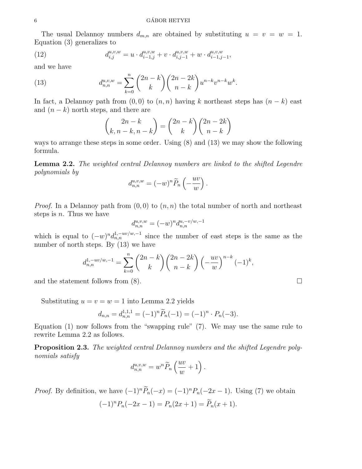#### GÁBOR HETYEI

The usual Delannoy numbers  $d_{m,n}$  are obtained by substituting  $u = v = w = 1$ . Equation (3) generalizes to

(12) 
$$
d_{i,j}^{u,v,w} = u \cdot d_{i-1,j}^{u,v,w} + v \cdot d_{i,j-1}^{u,v,w} + w \cdot d_{i-1,j-1}^{u,v,w},
$$

and we have

(13) 
$$
d_{n,n}^{u,v,w} = \sum_{k=0}^{n} {2n-k \choose k} {2n-2k \choose n-k} u^{n-k} v^{n-k} w^k.
$$

In fact, a Delannoy path from  $(0, 0)$  to  $(n, n)$  having k northeast steps has  $(n - k)$  east and  $(n - k)$  north steps, and there are

$$
\binom{2n-k}{k, n-k, n-k} = \binom{2n-k}{k} \binom{2n-2k}{n-k}
$$

ways to arrange these steps in some order. Using (8) and (13) we may show the following formula.

Lemma 2.2. The weighted central Delannoy numbers are linked to the shifted Legendre polynomials by

$$
d_{n,n}^{u,v,w} = (-w)^n \widetilde{P}_n\left(-\frac{uv}{w}\right).
$$

*Proof.* In a Delannov path from  $(0, 0)$  to  $(n, n)$  the total number of north and northeast steps is  $n$ . Thus we have

$$
d_{n,n}^{u,v,w}=(-w)^nd_{n,n}^{u,-v/w,-1}\quad
$$

which is equal to  $(-w)^n d_{n,n}^{1,-uv/w,-1}$  since the number of east steps is the same as the number of north steps. By (13) we have

$$
d_{n,n}^{1,-uv/w,-1} = \sum_{k=0}^{n} \binom{2n-k}{k} \binom{2n-2k}{n-k} \left(-\frac{uv}{w}\right)^{n-k} (-1)^k,
$$

and the statement follows from  $(8)$ .

Substituting  $u = v = w = 1$  into Lemma 2.2 yields

$$
d_{n,n} = d_{n,n}^{1,1,1} = (-1)^n \widetilde{P}_n(-1) = (-1)^n \cdot P_n(-3).
$$

Equation (1) now follows from the "swapping rule" (7). We may use the same rule to rewrite Lemma 2.2 as follows.

Proposition 2.3. The weighted central Delannoy numbers and the shifted Legendre polynomials satisfy

$$
d_{n,n}^{u,v,w} = w^n \widetilde{P}_n\left(\frac{uv}{w} + 1\right).
$$

*Proof.* By definition, we have  $(-1)^n \widetilde{P}_n(-x) = (-1)^n P_n(-2x-1)$ . Using (7) we obtain  $(-1)^n P_n(-2x-1) = P_n(2x+1) = \widetilde{P}_n(x+1).$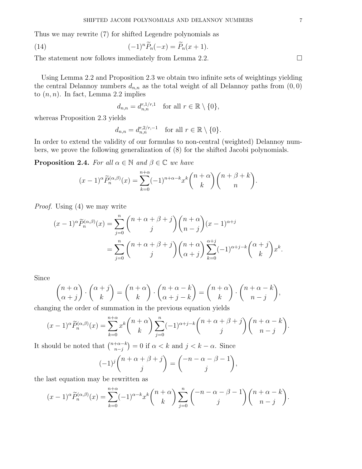Thus we may rewrite (7) for shifted Legendre polynomials as

(14) 
$$
(-1)^n \widetilde{P}_n(-x) = \widetilde{P}_n(x+1).
$$

The statement now follows immediately from Lemma 2.2.  $\Box$ 

Using Lemma 2.2 and Proposition 2.3 we obtain two infinite sets of weightings yielding the central Delannoy numbers  $d_{n,n}$  as the total weight of all Delannoy paths from  $(0, 0)$ to  $(n, n)$ . In fact, Lemma 2.2 implies

$$
d_{n,n} = d_{n,n}^{r,1/r,1} \quad \text{for all } r \in \mathbb{R} \setminus \{0\},
$$

whereas Proposition 2.3 yields

$$
d_{n,n} = d_{n,n}^{r,2/r,-1} \quad \text{for all } r \in \mathbb{R} \setminus \{0\}.
$$

In order to extend the validity of our formulas to non-central (weighted) Delannoy numbers, we prove the following generalization of (8) for the shifted Jacobi polynomials.

**Proposition 2.4.** For all  $\alpha \in \mathbb{N}$  and  $\beta \in \mathbb{C}$  we have

$$
(x-1)^{\alpha} \widetilde{P}_n^{(\alpha,\beta)}(x) = \sum_{k=0}^{n+\alpha} (-1)^{n+\alpha-k} x^k {n+\alpha \choose k} {n+\beta+k \choose n}.
$$

Proof. Using (4) we may write

$$
(x-1)^{\alpha} \widetilde{P}_n^{(\alpha,\beta)}(x) = \sum_{j=0}^n {n+\alpha+\beta+j \choose j} {n+\alpha \choose n-j} (x-1)^{\alpha+j}
$$
  
= 
$$
\sum_{j=0}^n {n+\alpha+\beta+j \choose j} {n+\alpha \choose \alpha+j} \sum_{k=0}^{\alpha+j} (-1)^{\alpha+j-k} {\alpha+j \choose k} x^k.
$$

Since

$$
\binom{n+\alpha}{\alpha+j} \cdot \binom{\alpha+j}{k} = \binom{n+\alpha}{k} \cdot \binom{n+\alpha-k}{\alpha+j-k} = \binom{n+\alpha}{k} \cdot \binom{n+\alpha-k}{n-j},
$$
as the order of summation in the previous equation yields

changing the order of summation in the previous equation yields

$$
(x-1)^{\alpha} \widetilde{P}_n^{(\alpha,\beta)}(x) = \sum_{k=0}^{n+\alpha} x^k {n+\alpha \choose k} \sum_{j=0}^n (-1)^{\alpha+j-k} {n+\alpha+\beta+j \choose j} {n+\alpha-k \choose n-j}.
$$

It should be noted that  $\binom{n+\alpha-k}{n-i}$  $\binom{+\alpha-k}{n-j} = 0$  if  $\alpha < k$  and  $j < k - \alpha$ . Since

$$
(-1)^j \binom{n+\alpha+\beta+j}{j} = \binom{-n-\alpha-\beta-1}{j},
$$

the last equation may be rewritten as

$$
(x-1)^{\alpha} \widetilde{P}_n^{(\alpha,\beta)}(x) = \sum_{k=0}^{n+\alpha} (-1)^{\alpha-k} x^k {n+\alpha \choose k} \sum_{j=0}^n {\binom{-n-\alpha-\beta-1}{j}} {n+\alpha-k \choose n-j}.
$$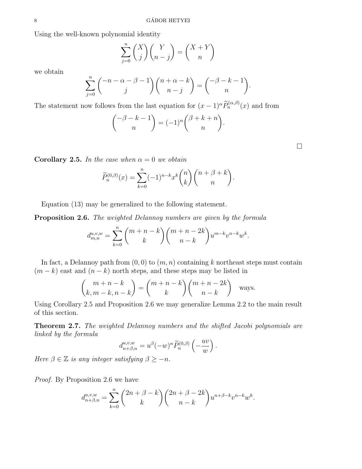Using the well-known polynomial identity

$$
\sum_{j=0}^{n} {X \choose j} {Y \choose n-j} = {X+Y \choose n}
$$

we obtain

$$
\sum_{j=0}^{n} \binom{-n-\alpha-\beta-1}{j} \binom{n+\alpha-k}{n-j} = \binom{-\beta-k-1}{n}.
$$

The statement now follows from the last equation for  $(x-1)^{\alpha} \widetilde{P}_n^{(\alpha,\beta)}(x)$  and from

$$
\binom{-\beta - k - 1}{n} = (-1)^n \binom{\beta + k + n}{n}.
$$

Corollary 2.5. In the case when  $\alpha = 0$  we obtain

$$
\widetilde{P}_n^{(0,\beta)}(x) = \sum_{k=0}^n (-1)^{n-k} x^k \binom{n}{k} \binom{n+\beta+k}{n}.
$$

Equation (13) may be generalized to the following statement.

**Proposition 2.6.** The weighted Delannoy numbers are given by the formula

$$
d_{m,n}^{u,v,w} = \sum_{k=0}^{n} \binom{m+n-k}{k} \binom{m+n-2k}{n-k} u^{m-k} v^{n-k} w^{k}.
$$

In fact, a Delannoy path from  $(0, 0)$  to  $(m, n)$  containing k northeast steps must contain  $(m - k)$  east and  $(n - k)$  north steps, and these steps may be listed in

$$
\binom{m+n-k}{k, m-k, n-k} = \binom{m+n-k}{k} \binom{m+n-2k}{n-k} \text{ ways.}
$$

Using Corollary 2.5 and Proposition 2.6 we may generalize Lemma 2.2 to the main result of this section.

Theorem 2.7. The weighted Delannoy numbers and the shifted Jacobi polynomials are linked by the formula

$$
d^{u,v,w}_{n+\beta,n}=u^\beta(-w)^n\widetilde{P}^{(0,\beta)}_n\left(-\frac{uv}{w}\right).
$$

Here  $\beta \in \mathbb{Z}$  is any integer satisfying  $\beta \geq -n$ .

Proof. By Proposition 2.6 we have

$$
d_{n+\beta,n}^{u,v,w} = \sum_{k=0}^n \binom{2n+\beta-k}{k}\binom{2n+\beta-2k}{n-k}u^{n+\beta-k}v^{n-k}w^k.
$$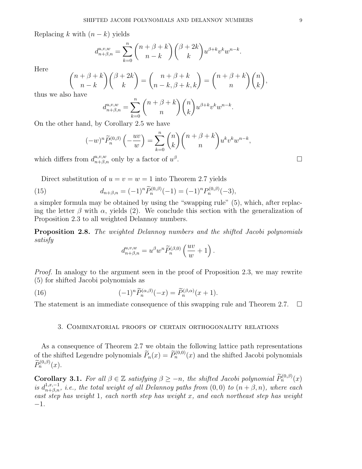Replacing k with  $(n - k)$  yields

$$
d_{n+\beta,n}^{u,v,w} = \sum_{k=0}^n \binom{n+\beta+k}{n-k} \binom{\beta+2k}{k} u^{\beta+k} v^k w^{n-k}.
$$

Here

$$
\binom{n+\beta+k}{n-k}\binom{\beta+2k}{k} = \binom{n+\beta+k}{n-k,\beta+k,k} = \binom{n+\beta+k}{n}\binom{n}{k},
$$

thus we also have

$$
d^{u,v,w}_{n+\beta,n}=\sum_{k=0}^n \binom{n+\beta+k}{n}\binom{n}{k}u^{\beta+k}v^kw^{n-k}.
$$

On the other hand, by Corollary 2.5 we have

$$
(-w)^n \widetilde{P}_n^{(0,\beta)} \left(-\frac{uv}{w}\right) = \sum_{k=0}^n \binom{n}{k} \binom{n+\beta+k}{n} u^k v^k w^{n-k},
$$
  
 
$$
\text{Im } d_{n+\beta,n}^{u,v,w} \text{ only by a factor of } u^{\beta}.
$$

which differs from  $d_{n+\beta,n}^{u,v,w}$  only by a factor of  $u^{\beta}$ 

Direct substitution of  $u = v = w = 1$  into Theorem 2.7 yields

(15) 
$$
d_{n+\beta,n} = (-1)^n \widetilde{P}_n^{(0,\beta)}(-1) = (-1)^n P_n^{(0,\beta)}(-3),
$$

a simpler formula may be obtained by using the "swapping rule" (5), which, after replacing the letter  $\beta$  with  $\alpha$ , yields (2). We conclude this section with the generalization of Proposition 2.3 to all weighted Delannoy numbers.

Proposition 2.8. The weighted Delannoy numbers and the shifted Jacobi polynomials satisfy

$$
d_{n+\beta,n}^{u,v,w} = u^{\beta}w^n \widetilde{P}_n^{(\beta,0)}\left(\frac{uv}{w} + 1\right).
$$

Proof. In analogy to the argument seen in the proof of Proposition 2.3, we may rewrite (5) for shifted Jacobi polynomials as

(16) 
$$
(-1)^n \widetilde{P}_n^{(\alpha,\beta)}(-x) = \widetilde{P}_n^{(\beta,\alpha)}(x+1).
$$

The statement is an immediate consequence of this swapping rule and Theorem 2.7.  $\Box$ 

# 3. Combinatorial proofs of certain orthogonality relations

As a consequence of Theorem 2.7 we obtain the following lattice path representations of the shifted Legendre polynomials  $\widetilde{P}_n(x) = \widetilde{P}_n^{(0,0)}(x)$  and the shifted Jacobi polynomials  $\widetilde{\Xi}(0,0)$ .  $\widetilde{P}_n^{(0, \beta)}(x)$ .

**Corollary 3.1.** For all  $\beta \in \mathbb{Z}$  satisfying  $\beta \geq -n$ , the shifted Jacobi polynomial  $\widetilde{P}_n^{(0,\beta)}(x)$ is  $d_{n+\beta,n}^{1,x,-1}$ , i.e., the total weight of all Delannoy paths from  $(0,0)$  to  $(n+\beta,n)$ , where each east step has weight 1, each north step has weight x, and each northeast step has weight −1.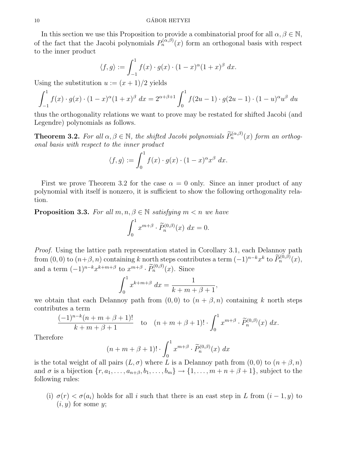In this section we use this Proposition to provide a combinatorial proof for all  $\alpha, \beta \in \mathbb{N}$ , of the fact that the Jacobi polynomials  $P_n^{(\alpha,\beta)}(x)$  form an orthogonal basis with respect to the inner product

$$
\langle f, g \rangle := \int_{-1}^{1} f(x) \cdot g(x) \cdot (1 - x)^{\alpha} (1 + x)^{\beta} dx.
$$

Using the substitution  $u := (x+1)/2$  yields

$$
\int_{-1}^{1} f(x) \cdot g(x) \cdot (1-x)^{\alpha} (1+x)^{\beta} dx = 2^{\alpha+\beta+1} \int_{0}^{1} f(2u-1) \cdot g(2u-1) \cdot (1-u)^{\alpha} u^{\beta} du
$$

thus the orthogonality relations we want to prove may be restated for shifted Jacobi (and Legendre) polynomials as follows.

**Theorem 3.2.** For all  $\alpha, \beta \in \mathbb{N}$ , the shifted Jacobi polynomials  $\widetilde{P}_n^{(\alpha,\beta)}(x)$  form an orthogonal basis with respect to the inner product

$$
\langle f, g \rangle := \int_0^1 f(x) \cdot g(x) \cdot (1 - x)^{\alpha} x^{\beta} dx.
$$

First we prove Theorem 3.2 for the case  $\alpha = 0$  only. Since an inner product of any polynomial with itself is nonzero, it is sufficient to show the following orthogonality relation.

**Proposition 3.3.** For all  $m, n, \beta \in \mathbb{N}$  satisfying  $m < n$  we have

$$
\int_0^1 x^{m+\beta} \cdot \widetilde{P}_n^{(0,\beta)}(x) \, dx = 0.
$$

Proof. Using the lattice path representation stated in Corollary 3.1, each Delannoy path from  $(0,0)$  to  $(n+\beta,n)$  containing k north steps contributes a term  $(-1)^{n-k}x^k$  to  $\widetilde{P}_n^{(0,\beta)}(x)$ , and a term  $(-1)^{n-k}x^{k+m+\beta}$  to  $x^{m+\beta} \cdot \widetilde{P}_n^{(0,\beta)}(x)$ . Since

$$
\int_0^1 x^{k+m+\beta} \, dx = \frac{1}{k+m+\beta+1},
$$

we obtain that each Delannoy path from  $(0,0)$  to  $(n + \beta, n)$  containing k north steps contributes a term

$$
\frac{(-1)^{n-k}(n+m+\beta+1)!}{k+m+\beta+1} \quad \text{to} \quad (n+m+\beta+1)! \cdot \int_0^1 x^{m+\beta} \cdot \widetilde{P}_n^{(0,\beta)}(x) \, dx.
$$

Therefore

$$
(n+m+\beta+1)! \cdot \int_0^1 x^{m+\beta} \cdot \widetilde{P}_n^{(0,\beta)}(x) dx
$$

is the total weight of all pairs  $(L, \sigma)$  where L is a Delannoy path from  $(0, 0)$  to  $(n + \beta, n)$ and  $\sigma$  is a bijection  $\{r, a_1, \ldots, a_{n+\beta}, b_1, \ldots, b_m\} \to \{1, \ldots, m+n+\beta+1\}$ , subject to the following rules:

(i)  $\sigma(r) < \sigma(a_i)$  holds for all i such that there is an east step in L from  $(i-1, y)$  to  $(i, y)$  for some y;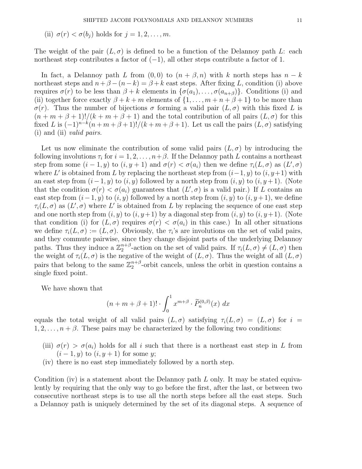(ii)  $\sigma(r) < \sigma(b_i)$  holds for  $j = 1, 2, \ldots, m$ .

The weight of the pair  $(L, \sigma)$  is defined to be a function of the Delannoy path L: each northeast step contributes a factor of  $(-1)$ , all other steps contribute a factor of 1.

In fact, a Delannoy path L from  $(0,0)$  to  $(n + \beta, n)$  with k north steps has  $n - k$ northeast steps and  $n+\beta-(n-k)=\beta+k$  east steps. After fixing L, condition (i) above requires  $\sigma(r)$  to be less than  $\beta + k$  elements in  $\{\sigma(a_1), \ldots, \sigma(a_{n+\beta})\}$ . Conditions (i) and (ii) together force exactly  $\beta + k + m$  elements of  $\{1, \ldots, m+n+\beta+1\}$  to be more than σ(r). Thus the number of bijections σ forming a valid pair (L, σ) with this fixed L is  $(n + m + \beta + 1)!/(k + m + \beta + 1)$  and the total contribution of all pairs  $(L, \sigma)$  for this fixed L is  $(-1)^{n-k}(n+m+\beta+1)!/(k+m+\beta+1)$ . Let us call the pairs  $(L, \sigma)$  satisfying (i) and (ii) valid pairs.

Let us now eliminate the contribution of some valid pairs  $(L, \sigma)$  by introducing the following involutions  $\tau_i$  for  $i = 1, 2, \ldots, n+\beta$ . If the Delannoy path L contains a northeast step from some  $(i-1, y)$  to  $(i, y+1)$  and  $\sigma(r) < \sigma(a_i)$  then we define  $\tau_i(L, \sigma)$  as  $(L', \sigma)$ where L' is obtained from L by replacing the northeast step from  $(i-1, y)$  to  $(i, y+1)$  with an east step from  $(i-1, y)$  to  $(i, y)$  followed by a north step from  $(i, y)$  to  $(i, y+1)$ . (Note that the condition  $\sigma(r) < \sigma(a_i)$  guarantees that  $(L', \sigma)$  is a valid pair.) If L contains an east step from  $(i-1, y)$  to  $(i, y)$  followed by a north step from  $(i, y)$  to  $(i, y+1)$ , we define  $\tau_i(L,\sigma)$  as  $(L',\sigma)$  where L' is obtained from L by replacing the sequence of one east step and one north step from  $(i, y)$  to  $(i, y+1)$  by a diagonal step from  $(i, y)$  to  $(i, y+1)$ . (Note that condition (i) for  $(L, \sigma)$  requires  $\sigma(r) < \sigma(a_i)$  in this case.) In all other situations we define  $\tau_i(L,\sigma) := (L,\sigma)$ . Obviously, the  $\tau_i$ 's are involutions on the set of valid pairs, and they commute pairwise, since they change disjoint parts of the underlying Delannoy paths. Thus they induce a  $\mathbb{Z}_2^{n+\beta}$ <sup>n+β</sup>-action on the set of valid pairs. If  $\tau_i(L,\sigma) \neq (L,\sigma)$  then the weight of  $\tau_i(L,\sigma)$  is the negative of the weight of  $(L,\sigma)$ . Thus the weight of all  $(L,\sigma)$ pairs that belong to the same  $\mathbb{Z}_2^{n+\beta}$  $n+\beta$ -orbit cancels, unless the orbit in question contains a single fixed point.

We have shown that

$$
(n+m+\beta+1)! \cdot \int_0^1 x^{m+\beta} \cdot \widetilde{P}_n^{(0,\beta)}(x) \, dx
$$

equals the total weight of all valid pairs  $(L, \sigma)$  satisfying  $\tau_i(L, \sigma) = (L, \sigma)$  for  $i =$  $1, 2, \ldots, n + \beta$ . These pairs may be characterized by the following two conditions:

- (iii)  $\sigma(r) > \sigma(a_i)$  holds for all i such that there is a northeast east step in L from  $(i-1, y)$  to  $(i, y+1)$  for some y;
- (iv) there is no east step immediately followed by a north step.

Condition (iv) is a statement about the Delannoy path  $L$  only. It may be stated equivalently by requiring that the only way to go before the first, after the last, or between two consecutive northeast steps is to use all the north steps before all the east steps. Such a Delannoy path is uniquely determined by the set of its diagonal steps. A sequence of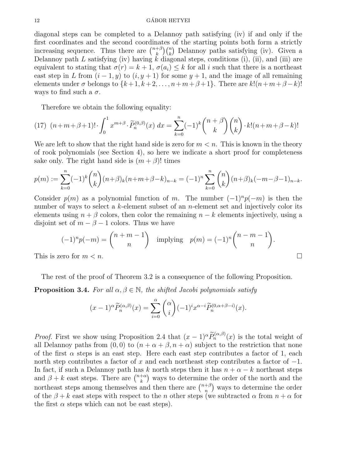#### 12 GÁBOR HETYEI

diagonal steps can be completed to a Delannoy path satisfying (iv) if and only if the first coordinates and the second coordinates of the starting points both form a strictly increasing sequence. Thus there are  $\binom{n+\beta}{k}$  $\binom{+\beta}{k} \binom{n}{k}$  Delannoy paths satisfying (iv). Given a Delannoy path L satisfying (iv) having k diagonal steps, conditions (i), (ii), and (iii) are equivalent to stating that  $\sigma(r) = k + 1$ ,  $\sigma(a_i) \leq k$  for all i such that there is a northeast east step in L from  $(i - 1, y)$  to  $(i, y + 1)$  for some  $y + 1$ , and the image of all remaining elements under  $\sigma$  belongs to  $\{k+1, k+2, \ldots, n+m+\beta+1\}$ . There are  $k!(n+m+\beta-k)!$ ways to find such a  $\sigma$ .

Therefore we obtain the following equality:

(17) 
$$
(n+m+\beta+1)!\cdot \int_0^1 x^{m+\beta} \cdot \widetilde{P}_n^{(0,\beta)}(x) dx = \sum_{k=0}^n (-1)^k {n+\beta \choose k} {n \choose k} \cdot k! (n+m+\beta-k)!
$$

We are left to show that the right hand side is zero for  $m < n$ . This is known in the theory of rook polynomials (see Section 4), so here we indicate a short proof for completeness sake only. The right hand side is  $(m + \beta)!$  times

$$
p(m) := \sum_{k=0}^{n} (-1)^k {n \choose k} (n+\beta)_k (n+m+\beta-k)_{n-k} = (-1)^n \sum_{k=0}^{n} {n \choose k} (n+\beta)_k (-m-\beta-1)_{n-k}.
$$

Consider  $p(m)$  as a polynomial function of m. The number  $(-1)^n p(-m)$  is then the number of ways to select a k-element subset of an n-element set and injectively color its elements using  $n + \beta$  colors, then color the remaining  $n - k$  elements injectively, using a disjoint set of  $m - \beta - 1$  colors. Thus we have

$$
(-1)^{n}p(-m) = \binom{n+m-1}{n} \quad \text{implying} \quad p(m) = (-1)^{n} \binom{n-m-1}{n}.
$$
\nThis is zero for  $m < n$ .

\n $\Box$ 

The rest of the proof of Theorem 3.2 is a consequence of the following Proposition.

**Proposition 3.4.** For all  $\alpha, \beta \in \mathbb{N}$ , the shifted Jacobi polynomials satisfy

$$
(x-1)^{\alpha} \widetilde{P}_n^{(\alpha,\beta)}(x) = \sum_{i=0}^{\alpha} {\alpha \choose i} (-1)^i x^{\alpha-i} \widetilde{P}_n^{(0,\alpha+\beta-i)}(x).
$$

*Proof.* First we show using Proposition 2.4 that  $(x - 1)^{\alpha} \widetilde{P}_n^{(\alpha,\beta)}(x)$  is the total weight of all Delannoy paths from  $(0, 0)$  to  $(n + \alpha + \beta, n + \alpha)$  subject to the restriction that none of the first  $\alpha$  steps is an east step. Here each east step contributes a factor of 1, each north step contributes a factor of x and each northeast step contributes a factor of  $-1$ . In fact, if such a Delannoy path has k north steps then it has  $n + \alpha - k$  northeast steps and  $\beta + k$  east steps. There are  $\binom{n+\alpha}{k}$  $\binom{+\alpha}{k}$  ways to determine the order of the north and the northeast steps among themselves and then there are  $\binom{n+\beta}{n}$  $\binom{+\beta}{n}$  ways to determine the order of the  $\beta + k$  east steps with respect to the n other steps (we subtracted  $\alpha$  from  $n + \alpha$  for the first  $\alpha$  steps which can not be east steps).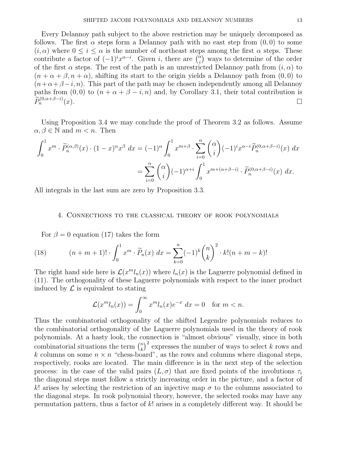Every Delannoy path subject to the above restriction may be uniquely decomposed as follows. The first  $\alpha$  steps form a Delannoy path with no east step from  $(0, 0)$  to some  $(i, \alpha)$  where  $0 \leq i \leq \alpha$  is the number of northeast steps among the first  $\alpha$  steps. These contribute a factor of  $(-1)^i x^{\alpha-i}$ . Given i, there are  $\binom{\alpha}{i}$  $\binom{\alpha}{i}$  ways to determine of the order of the first  $\alpha$  steps. The rest of the path is an unrestricted Delannoy path from  $(i, \alpha)$  to  $(n + \alpha + \beta, n + \alpha)$ , shifting its start to the origin yields a Delannoy path from  $(0, 0)$  to  $(n+\alpha+\beta-i, n)$ . This part of the path may be chosen independently among all Delannoy paths from  $(0, 0)$  to  $(n + \alpha + \beta - i, n)$  and, by Corollary 3.1, their total contribution is  $\widetilde{P}_n^{(0,\alpha+\beta-i)}(x)$ .

Using Proposition 3.4 we may conclude the proof of Theorem 3.2 as follows. Assume  $\alpha, \beta \in \mathbb{N}$  and  $m < n$ . Then

$$
\int_0^1 x^m \cdot \widetilde{P}_n^{(\alpha,\beta)}(x) \cdot (1-x)^\alpha x^\beta \, dx = (-1)^\alpha \int_0^1 x^{m+\beta} \cdot \sum_{i=0}^\alpha \binom{\alpha}{i} (-1)^i x^{\alpha-i} \widetilde{P}_n^{(0,\alpha+\beta-i)}(x) \, dx
$$

$$
= \sum_{i=0}^\alpha \binom{\alpha}{i} (-1)^{\alpha+i} \int_0^1 x^{m+(\alpha+\beta-i)} \cdot \widetilde{P}_n^{(0,\alpha+\beta-i)}(x) \, dx.
$$

All integrals in the last sum are zero by Proposition 3.3.

# 4. Connections to the classical theory of rook polynomials

For  $\beta = 0$  equation (17) takes the form

(18) 
$$
(n+m+1)! \cdot \int_0^1 x^m \cdot \widetilde{P}_n(x) dx = \sum_{k=0}^n (-1)^k {n \choose k}^2 \cdot k! (n+m-k)!
$$

The right hand side here is  $\mathcal{L}(x^m l_n(x))$  where  $l_n(x)$  is the Laguerre polynomial defined in (11). The orthogonality of these Laguerre polynomials with respect to the inner product induced by  $\mathcal L$  is equivalent to stating

$$
\mathcal{L}(x^m l_n(x)) = \int_0^\infty x^m l_n(x) e^{-x} dx = 0 \text{ for } m < n.
$$

Thus the combinatorial orthogonality of the shifted Legendre polynomials reduces to the combinatorial orthogonality of the Laguerre polynomials used in the theory of rook polynomials. At a hasty look, the connection is "almost obvious" visually, since in both combinatorial situations the term  $\binom{n}{k}$  $(k)$ <sup>2</sup> expresses the number of ways to select k rows and k columns on some  $n \times n$  "chess-board", as the rows and columns where diagonal steps, respectively, rooks are located. The main difference is in the next step of the selection process: in the case of the valid pairs  $(L, \sigma)$  that are fixed points of the involutions  $\tau_i$ the diagonal steps must follow a strictly increasing order in the picture, and a factor of k! arises by selecting the restriction of an injective map  $\sigma$  to the columns associated to the diagonal steps. In rook polynomial theory, however, the selected rooks may have any permutation pattern, thus a factor of k! arises in a completely different way. It should be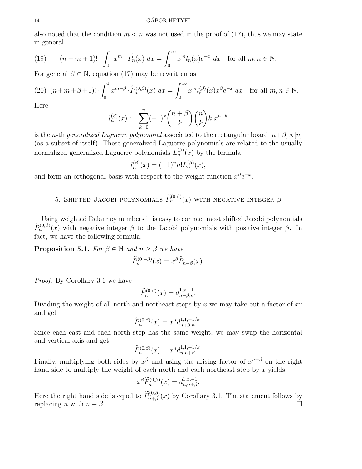#### 14 GÁBOR HETYEI

also noted that the condition  $m < n$  was not used in the proof of (17), thus we may state in general

(19) 
$$
(n+m+1)! \cdot \int_0^1 x^m \cdot \widetilde{P}_n(x) dx = \int_0^\infty x^m l_n(x) e^{-x} dx \text{ for all } m, n \in \mathbb{N}.
$$

For general  $\beta \in \mathbb{N}$ , equation (17) may be rewritten as

(20) 
$$
(n+m+\beta+1)!\cdot \int_0^1 x^{m+\beta} \cdot \widetilde{P}_n^{(0,\beta)}(x) dx = \int_0^\infty x^m l_n^{(\beta)}(x) x^{\beta} e^{-x} dx
$$
 for all  $m, n \in \mathbb{N}$ .

Here

$$
l_n^{(\beta)}(x):=\sum_{k=0}^n(-1)^k\binom{n+\beta}{k}\binom{n}{k}k!x^{n-k}
$$

is the n-th generalized Laguerre polynomial associated to the rectangular board  $[n+\beta] \times [n]$ (as a subset of itself). These generalized Laguerre polynomials are related to the usually normalized generalized Laguerre polynomials  $L_n^{(\beta)}(x)$  by the formula

$$
l_n^{(\beta)}(x) = (-1)^n n! L_n^{(\beta)}(x),
$$

and form an orthogonal basis with respect to the weight function  $x^{\beta}e^{-x}$ .

# 5. SHIFTED JACOBI POLYNOMIALS  $\widetilde{P}_n^{(0,\beta)}(x)$  with negative integer  $\beta$

Using weighted Delannoy numbers it is easy to connect most shifted Jacobi polynomials  $\widetilde{P}_n^{(0,\beta)}(x)$  with negative integer  $\beta$  to the Jacobi polynomials with positive integer  $\beta$ . In fact, we have the following formula.

**Proposition 5.1.** For  $\beta \in \mathbb{N}$  and  $n \geq \beta$  we have

$$
\widetilde{P}_n^{(0,-\beta)}(x) = x^{\beta} \widetilde{P}_{n-\beta}(x).
$$

Proof. By Corollary 3.1 we have

$$
\widetilde{P}_n^{(0,\beta)}(x) = d_{n+\beta,n}^{1,x,-1}.
$$

Dividing the weight of all north and northeast steps by x we may take out a factor of  $x^n$ and get

$$
\widetilde{P}_n^{(0,\beta)}(x) = x^n d_{n+\beta,n}^{1,1,-1/x}.
$$

Since each east and each north step has the same weight, we may swap the horizontal and vertical axis and get

$$
\widetilde{P}_n^{(0,\beta)}(x) = x^n d_{n,n+\beta}^{1,1,-1/x}.
$$

Finally, multiplying both sides by  $x^{\beta}$  and using the arising factor of  $x^{n+\beta}$  on the right hand side to multiply the weight of each north and each northeast step by  $x$  yields

$$
x^{\beta} \widetilde{P}_n^{(0,\beta)}(x) = d_{n,n+\beta}^{1,x,-1}.
$$

Here the right hand side is equal to  $\widetilde{P}_{n+\beta}^{(0,\beta)}(x)$  by Corollary 3.1. The statement follows by replacing *n* with  $n - \beta$ .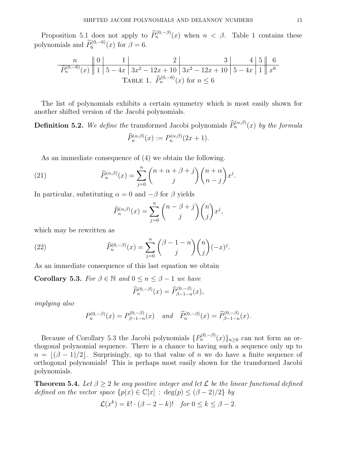Proposition 5.1 does not apply to  $\widetilde{P}_n^{(0,-\beta)}(x)$  when  $n < \beta$ . Table 1 contains these polynomials and  $\widetilde{P}_6^{(0,-6)}(x)$  for  $\beta = 6$ .

$$
\frac{n}{\widetilde{P}_n^{(0,-6)}(x)} \left\| 1 \right\| 5 - 4x \left\| 3x^2 - 12x + 10 \right\| 3x^2 - 12x + 10 \left\| 5 - 4x \right\| 1 \left\| x^6 \right\|
$$
  
TABLE 1.  $\widetilde{P}_n^{(0,-6)}(x)$  for  $n \le 6$ 

The list of polynomials exhibits a certain symmetry which is most easily shown for another shifted version of the Jacobi polynomials.

**Definition 5.2.** We define the transformed Jacobi polynomials  $\widehat{P}_n^{(\alpha,\beta)}(x)$  by the formula  $\widehat{P}_n^{(\alpha,\beta)}(x) := P_n^{(\alpha,\beta)}(2x+1).$ 

As an immediate consequence of (4) we obtain the following.

(21) 
$$
\widehat{P}_n^{(\alpha,\beta)}(x) = \sum_{j=0}^n {n+\alpha+\beta+j \choose j} {n+\alpha \choose n-j} x^j.
$$

In particular, substituting  $\alpha = 0$  and  $-\beta$  for  $\beta$  yields

$$
\widehat{P}_n^{(\alpha,\beta)}(x) = \sum_{j=0}^n {n - \beta + j \choose j} {n \choose j} x^j,
$$

which may be rewritten as

(22) 
$$
\widehat{P}_n^{(0,-\beta)}(x) = \sum_{j=0}^n {\binom{\beta-1-n}{j}} {\binom{n}{j}} (-x)^j.
$$

As an immediate consequence of this last equation we obtain

**Corollary 5.3.** For  $\beta \in \mathbb{N}$  and  $0 \leq n \leq \beta - 1$  we have

$$
\widehat{P}_n^{(0,-\beta)}(x) = \widehat{P}_{\beta-1-n}^{(0,-\beta)}(x),
$$

implying also

$$
P_n^{(0,-\beta)}(x) = P_{\beta-1-n}^{(0,-\beta)}(x) \quad \text{and} \quad \widetilde{P}_n^{(0,-\beta)}(x) = \widetilde{P}_{\beta-1-n}^{(0,-\beta)}(x).
$$

Because of Corollary 5.3 the Jacobi polynomials  $\{P_n^{(0,-\beta)}(x)\}_{n\geq 0}$  can not form an orthogonal polynomial sequence. There is a chance to having such a sequence only up to  $n = |(\beta - 1)/2|$ . Surprisingly, up to that value of n we do have a finite sequence of orthogonal polynomials! This is perhaps most easily shown for the transformed Jacobi polynomials.

**Theorem 5.4.** Let  $\beta > 2$  be any positive integer and let  $\mathcal{L}$  be the linear functional defined defined on the vector space  $\{p(x) \in \mathbb{C}[x] : \deg(p) \leq (\beta - 2)/2\}$  by

$$
\mathcal{L}(x^k) = k! \cdot (\beta - 2 - k)! \quad \text{for } 0 \le k \le \beta - 2.
$$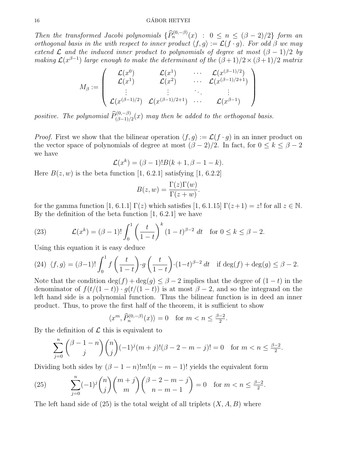Then the transformed Jacobi polynomials  $\{\widehat{P}_n^{(0,-\beta)}(x) : 0 \le n \le (\beta-2)/2\}$  form an orthogonal basis in the with respect to inner product  $\langle f, g \rangle := \mathcal{L}(f \cdot g)$ . For odd  $\beta$  we may extend  $\mathcal L$  and the induced inner product to polynomials of degree at most  $(\beta - 1)/2$  by making  $\mathcal{L}(x^{\beta-1})$  large enough to make the determinant of the  $(\beta+1)/2 \times (\beta+1)/2$  matrix

$$
M_{\beta} := \left(\begin{array}{cccc} \mathcal{L}(x^0) & \mathcal{L}(x^1) & \cdots & \mathcal{L}(x^{(\beta-1)/2}) \\ \mathcal{L}(x^1) & \mathcal{L}(x^2) & \cdots & \mathcal{L}(x^{(\beta-1)/2+1}) \\ \vdots & \vdots & \ddots & \vdots \\ \mathcal{L}(x^{(\beta-1)/2}) & \mathcal{L}(x^{(\beta-1)/2+1}) & \cdots & \mathcal{L}(x^{\beta-1}) \end{array}\right)
$$

positive. The polynomial  $\widehat{P}_{(\beta-1)/2}^{(0,-\beta)}(x)$  may then be added to the orthogonal basis.

*Proof.* First we show that the bilinear operation  $\langle f, g \rangle := \mathcal{L}(f \cdot g)$  in an inner product on the vector space of polynomials of degree at most  $(\beta - 2)/2$ . In fact, for  $0 \le k \le \beta - 2$ we have

$$
\mathcal{L}(x^k) = (\beta - 1)! B(k + 1, \beta - 1 - k).
$$

Here  $B(z, w)$  is the beta function [1, 6.2.1] satisfying [1, 6.2.2]

$$
B(z, w) = \frac{\Gamma(z)\Gamma(w)}{\Gamma(z+w)}.
$$

for the gamma function [1, 6.1.1]  $\Gamma(z)$  which satisfies [1, 6.1.15]  $\Gamma(z+1) = z!$  for all  $z \in \mathbb{N}$ . By the definition of the beta function [1, 6.2.1] we have

(23) 
$$
\mathcal{L}(x^k) = (\beta - 1)! \int_0^1 \left(\frac{t}{1-t}\right)^k (1-t)^{\beta - 2} dt \text{ for } 0 \le k \le \beta - 2.
$$

Using this equation it is easy deduce

(24) 
$$
\langle f, g \rangle = (\beta - 1)! \int_0^1 f\left(\frac{t}{1-t}\right) \cdot g\left(\frac{t}{1-t}\right) \cdot (1-t)^{\beta - 2} dt
$$
 if  $\deg(f) + \deg(g) \le \beta - 2$ .

Note that the condition  $\deg(f) + \deg(g) \leq \beta - 2$  implies that the degree of  $(1-t)$  in the denominator of  $f(t/(1-t)) \cdot g(t/(1-t))$  is at most  $\beta - 2$ , and so the integrand on the left hand side is a polynomial function. Thus the bilinear function is in deed an inner product. Thus, to prove the first half of the theorem, it is sufficient to show

$$
\langle x^m, \hat{P}_n^{(0,-\beta)}(x) \rangle = 0 \quad \text{for } m < n \le \frac{\beta - 2}{2}.
$$

By the definition of  $\mathcal L$  this is equivalent to

$$
\sum_{j=0}^{n} \binom{\beta-1-n}{j} \binom{n}{j} (-1)^{j} (m+j)! (\beta-2-m-j)! = 0 \text{ for } m < n \le \frac{\beta-2}{2}.
$$

Dividing both sides by  $(\beta - 1 - n)!m!(n - m - 1)!$  yields the equivalent form

(25) 
$$
\sum_{j=0}^{n} (-1)^{j} {n \choose j} {m+j \choose m} {\beta-2-m-j \choose n-m-1} = 0 \text{ for } m < n \le \frac{\beta-2}{2}.
$$

The left hand side of  $(25)$  is the total weight of all triplets  $(X, A, B)$  where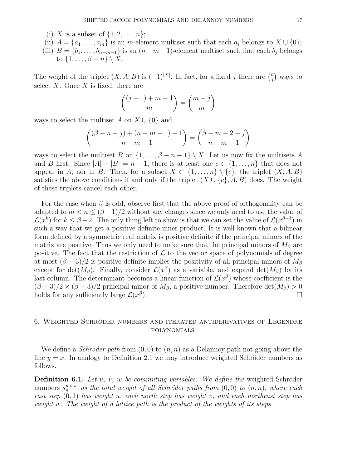- (i) X is a subset of  $\{1, 2, ..., n\};$
- (ii)  $A = \{a_1, \ldots, a_m\}$  is an m-element multiset such that each  $a_i$  belongs to  $X \cup \{0\};$
- (iii)  $B = \{b_1, \ldots, b_{n-m-1}\}\$ is an  $(n-m-1)$ -element multiset such that each  $b_j$  belongs to  $\{1,\ldots,\beta-n\}\setminus X$ .

The weight of the triplet  $(X, A, B)$  is  $(-1)^{|X|}$ . In fact, for a fixed j there are  $\binom{n}{i}$  $\binom{n}{j}$  ways to select  $X$ . Once  $X$  is fixed, there are

$$
\binom{(j+1)+m-1}{m} = \binom{m+j}{m}
$$

ways to select the multiset A on  $X \cup \{0\}$  and

$$
{(\beta - n - j) + (n - m - 1) - 1 \choose n - m - 1} = {\beta - m - 2 - j \choose n - m - 1}
$$

ways to select the multiset B on  $\{1, \ldots, \beta - n - 1\} \setminus X$ . Let us now fix the multisets A and B first. Since  $|A| + |B| = n - 1$ , there is at least one  $c \in \{1, ..., n\}$  that does not appear in A, nor in B. Then, for a subset  $X \subset \{1, \ldots, n\} \setminus \{c\}$ , the triplet  $(X, A, B)$ satisfies the above conditions if and only if the triplet  $(X \cup \{c\}, A, B)$  does. The weight of these triplets cancel each other.

For the case when  $\beta$  is odd, observe first that the above proof of orthogonality can be adapted to  $m < n \leq (\beta - 1)/2$  without any changes since we only need to use the value of  $\mathcal{L}(x^k)$  for  $k \leq \beta - 2$ . The only thing left to show is that we can set the value of  $\mathcal{L}(x^{\beta-1})$  in such a way that we get a positive definite inner product. It is well known that a bilinear form defined by a symmetric real matrix is positive definite if the principal minors of the matrix are positive. Thus we only need to make sure that the principal minors of  $M_\beta$  are positive. The fact that the restriction of  $\mathcal L$  to the vector space of polynomials of degree at most  $(\beta - 3)/2$  is positive definite implies the positivity of all principal minors of  $M_{\beta}$ except for  $\det(M_\beta)$ . Finally, consider  $\mathcal{L}(x^\beta)$  as a variable, and expand  $\det(M_\beta)$  by its last column. The determinant becomes a linear function of  $\mathcal{L}(x^{\beta})$  whose coefficient is the  $(\beta - 3)/2 \times (\beta - 3)/2$  principal minor of  $M_{\beta}$ , a positive number. Therefore det $(M_{\beta}) > 0$ holds for any sufficiently large  $\mathcal{L}(x^{\beta})$ ).  $\qquad \qquad \Box$ 

# 6. WEIGHTED SCHRÖDER NUMBERS AND ITERATED ANTIDERIVATIVES OF LEGENDRE polynomials

We define a *Schröder path* from  $(0, 0)$  to  $(n, n)$  as a Delannoy path not going above the line  $y = x$ . In analogy to Definition 2.1 we may introduce weighted Schröder numbers as follows.

**Definition 6.1.** Let u, v, w be commuting variables. We define the weighted Schröder numbers  $s_n^{u,v,w}$  as the total weight of all Schröder paths from  $(0,0)$  to  $(n,n)$ , where each east step  $(0, 1)$  has weight u, each north step has weight v, and each northeast step has weight w. The weight of a lattice path is the product of the weights of its steps.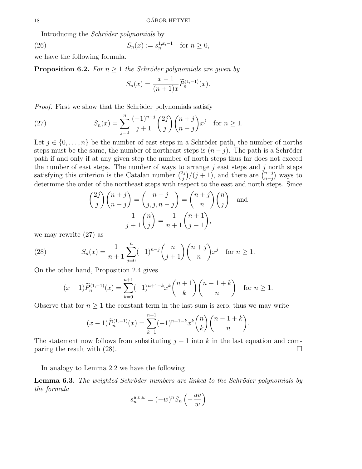Introducing the Schröder polynomials by

(26) 
$$
S_n(x) := s_n^{1,x,-1} \text{ for } n \ge 0,
$$

we have the following formula.

**Proposition 6.2.** For  $n \geq 1$  the Schröder polynomials are given by

$$
S_n(x) = \frac{x-1}{(n+1)x} \widetilde{P}_n^{(1,-1)}(x).
$$

*Proof.* First we show that the Schröder polynomials satisfy

(27) 
$$
S_n(x) = \sum_{j=0}^n \frac{(-1)^{n-j}}{j+1} {2j \choose j} {n+j \choose n-j} x^j \text{ for } n \ge 1.
$$

Let  $j \in \{0, \ldots, n\}$  be the number of east steps in a Schröder path, the number of norths steps must be the same, the number of northeast steps is  $(n - j)$ . The path is a Schröder path if and only if at any given step the number of north steps thus far does not exceed the number of east steps. The number of ways to arrange  $j$  east steps and  $j$  north steps satisfying this criterion is the Catalan number  $\binom{2j}{i}$  $\binom{n+j}{j}$ /(j + 1), and there are  $\binom{n+j}{n-j}$  $_{n-j}^{n+j}$  ways to determine the order of the northeast steps with respect to the east and north steps. Since

$$
\binom{2j}{j}\binom{n+j}{n-j} = \binom{n+j}{j,j,n-j} = \binom{n+j}{n}\binom{n}{j} \text{ and }
$$

$$
\frac{1}{j+1}\binom{n}{j} = \frac{1}{n+1}\binom{n+1}{j+1},
$$

we may rewrite (27) as

(28) 
$$
S_n(x) = \frac{1}{n+1} \sum_{j=0}^n (-1)^{n-j} {n \choose j+1} {n+j \choose n} x^j \text{ for } n \ge 1.
$$

On the other hand, Proposition 2.4 gives

$$
(x-1)\widetilde{P}_n^{(1,-1)}(x) = \sum_{k=0}^{n+1} (-1)^{n+1-k} x^k \binom{n+1}{k} \binom{n-1+k}{n} \quad \text{for } n \ge 1.
$$

Observe that for  $n \geq 1$  the constant term in the last sum is zero, thus we may write

$$
(x-1)\widetilde{P}_n^{(1,-1)}(x) = \sum_{k=1}^{n+1} (-1)^{n+1-k} x^k \binom{n}{k} \binom{n-1+k}{n}.
$$

The statement now follows from substituting  $j+1$  into k in the last equation and comparing the result with  $(28)$ .

In analogy to Lemma 2.2 we have the following

**Lemma 6.3.** The weighted Schröder numbers are linked to the Schröder polynomials by the formula

$$
s_n^{u,v,w} = (-w)^n S_n \left(-\frac{uv}{w}\right)
$$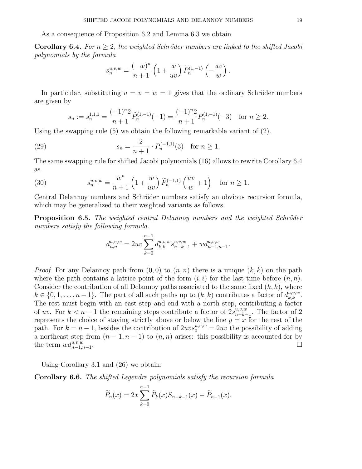As a consequence of Proposition 6.2 and Lemma 6.3 we obtain

**Corollary 6.4.** For  $n > 2$ , the weighted Schröder numbers are linked to the shifted Jacobi polynomials by the formula

$$
s_n^{u,v,w} = \frac{(-w)^n}{n+1} \left(1 + \frac{w}{uv}\right) \widetilde{P}_n^{(1,-1)}\left(-\frac{uv}{w}\right).
$$

In particular, substituting  $u = v = w = 1$  gives that the ordinary Schröder numbers are given by

$$
s_n := s_n^{1,1,1} = \frac{(-1)^n 2}{n+1} \widetilde{P}_n^{(1,-1)}(-1) = \frac{(-1)^n 2}{n+1} P_n^{(1,-1)}(-3) \quad \text{for } n \ge 2.
$$

Using the swapping rule (5) we obtain the following remarkable variant of (2).

(29) 
$$
s_n = \frac{2}{n+1} \cdot P_n^{(-1,1)}(3) \text{ for } n \ge 1.
$$

The same swapping rule for shifted Jacobi polynomials (16) allows to rewrite Corollary 6.4 as

(30) 
$$
s_n^{u,v,w} = \frac{w^n}{n+1} \left(1 + \frac{w}{uv}\right) \widetilde{P}_n^{(-1,1)}\left(\frac{uv}{w} + 1\right) \text{ for } n \ge 1.
$$

Central Delannoy numbers and Schröder numbers satisfy an obvious recursion formula, which may be generalized to their weighted variants as follows.

**Proposition 6.5.** The weighted central Delannoy numbers and the weighted Schröder numbers satisfy the following formula.

$$
d_{n,n}^{u,v,w} = 2uv \sum_{k=0}^{n-1} d_{k,k}^{u,v,w} s_{n-k-1}^{u,v,w} + wd_{n-1,n-1}^{u,v,w}.
$$

*Proof.* For any Delannoy path from  $(0, 0)$  to  $(n, n)$  there is a unique  $(k, k)$  on the path where the path contains a lattice point of the form  $(i, i)$  for the last time before  $(n, n)$ . Consider the contribution of all Delannoy paths associated to the same fixed  $(k, k)$ , where  $k \in \{0, 1, \ldots, n-1\}$ . The part of all such paths up to  $(k, k)$  contributes a factor of  $d_{k,k}^{u,v,w}$ . The rest must begin with an east step and end with a north step, contributing a factor of uv. For  $k < n - 1$  the remaining steps contribute a factor of  $2s_{n-k}^{u,v,w}$  $_{n-k-1}^{u,v,w}$ . The factor of 2 represents the choice of staying strictly above or below the line  $y = x$  for the rest of the path. For  $k = n - 1$ , besides the contribution of  $2uvs_0^{u,v,w} = 2uv$  the possibility of adding a northeast step from  $(n-1, n-1)$  to  $(n, n)$  arises: this possibility is accounted for by the term  $wd_{n-1,n-1}^{u,v,w}$ .

Using Corollary 3.1 and (26) we obtain:

Corollary 6.6. The shifted Legendre polynomials satisfy the recursion formula

$$
\widetilde{P}_n(x) = 2x \sum_{k=0}^{n-1} \widetilde{P}_k(x) S_{n-k-1}(x) - \widetilde{P}_{n-1}(x).
$$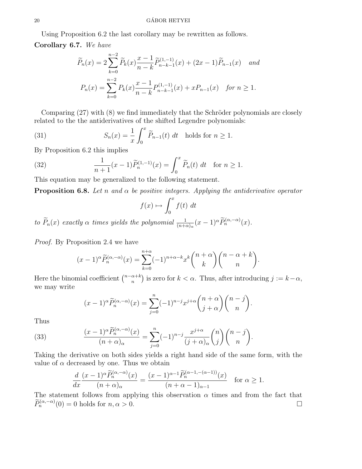Using Proposition 6.2 the last corollary may be rewritten as follows.

Corollary 6.7. We have

$$
\widetilde{P}_n(x) = 2 \sum_{k=0}^{n-2} \widetilde{P}_k(x) \frac{x-1}{n-k} \widetilde{P}_{n-k-1}^{(1,-1)}(x) + (2x-1) \widetilde{P}_{n-1}(x) \quad and
$$

$$
P_n(x) = \sum_{k=0}^{n-2} P_k(x) \frac{x-1}{n-k} P_{n-k-1}^{(1,-1)}(x) + x P_{n-1}(x) \quad \text{for } n \ge 1.
$$

Comparing  $(27)$  with  $(8)$  we find immediately that the Schröder polynomials are closely related to the the antiderivatives of the shifted Legendre polynomials:

(31) 
$$
S_n(x) = \frac{1}{x} \int_0^x \widetilde{P}_{n-1}(t) dt \text{ holds for } n \ge 1.
$$

By Proposition 6.2 this implies

(32) 
$$
\frac{1}{n+1}(x-1)\widetilde{P}_n^{(1,-1)}(x) = \int_0^x \widetilde{P}_n(t) dt \text{ for } n \ge 1.
$$

This equation may be generalized to the following statement.

**Proposition 6.8.** Let n and  $\alpha$  be positive integers. Applying the antiderivative operator

$$
f(x) \mapsto \int_0^x f(t) \, dt
$$

to  $\widetilde{P}_n(x)$  exactly  $\alpha$  times yields the polynomial  $\frac{1}{(n+\alpha) \alpha}(x-1)^{\alpha} \widetilde{P}_n^{(\alpha,-\alpha)}(x)$ .

Proof. By Proposition 2.4 we have

$$
(x-1)^{\alpha} \widetilde{P}_n^{(\alpha,-\alpha)}(x) = \sum_{k=0}^{n+\alpha} (-1)^{n+\alpha-k} x^k {n+\alpha \choose k} {n-\alpha+k \choose n}.
$$

Here the binomial coefficient  $\binom{n-\alpha+k}{n}$  $\binom{\alpha+k}{n}$  is zero for  $k < \alpha$ . Thus, after introducing  $j := k - \alpha$ , we may write

$$
(x-1)^{\alpha} \widetilde{P}_n^{(\alpha,-\alpha)}(x) = \sum_{j=0}^n (-1)^{n-j} x^{j+\alpha} {n+\alpha \choose j+\alpha} {n-j \choose n}.
$$

Thus

(33) 
$$
\frac{(x-1)^{\alpha}\widetilde{P}_n^{(\alpha,-\alpha)}(x)}{(n+\alpha)_{\alpha}} = \sum_{j=0}^n (-1)^{n-j} \frac{x^{j+\alpha}}{(j+\alpha)_{\alpha}} {n \choose j} {n-j \choose n}.
$$

Taking the derivative on both sides yields a right hand side of the same form, with the value of  $\alpha$  decreased by one. Thus we obtain

$$
\frac{d}{dx}\frac{(x-1)^{\alpha}\widetilde{P}_n^{(\alpha,-\alpha)}(x)}{(n+\alpha)_{\alpha}} = \frac{(x-1)^{\alpha-1}\widetilde{P}_n^{(\alpha-1,-(\alpha-1))}(x)}{(n+\alpha-1)_{\alpha-1}} \quad \text{for } \alpha \ge 1.
$$

The statement follows from applying this observation  $\alpha$  times and from the fact that  $\widetilde{P}_n^{(\alpha,-\alpha)}(0) = 0$  holds for  $n, \alpha > 0$ .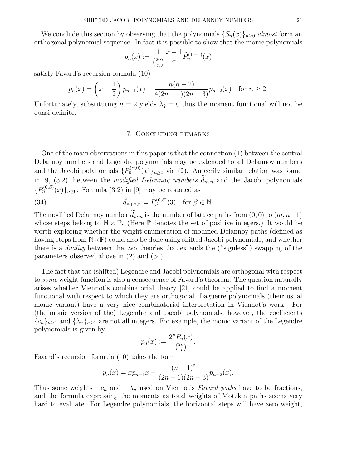We conclude this section by observing that the polynomials  $\{S_n(x)\}\$ <sub>n</sub>>0 almost form an orthogonal polynomial sequence. In fact it is possible to show that the monic polynomials

$$
p_n(x) := \frac{1}{\binom{2n}{n}} \frac{x-1}{x} \widetilde{P}_n^{(1,-1)}(x)
$$

satisfy Favard's recursion formula (10)

$$
p_n(x) = \left(x - \frac{1}{2}\right) p_{n-1}(x) - \frac{n(n-2)}{4(2n-1)(2n-3)} p_{n-2}(x) \quad \text{for } n \ge 2.
$$

Unfortunately, substituting  $n = 2$  yields  $\lambda_2 = 0$  thus the moment functional will not be quasi-definite.

# 7. Concluding remarks

One of the main observations in this paper is that the connection (1) between the central Delannoy numbers and Legendre polynomials may be extended to all Delannoy numbers and the Jacobi polynomials  $\{P_n^{(\alpha,0)}(x)\}_{n\geq 0}$  via (2). An eerily similar relation was found in [9, (3.2)] between the *modified Delannoy numbers*  $\tilde{d}_{m,n}$  and the Jacobi polynomials  ${P_n^{(0,\beta)}(x)}_{n\geq 0}$ . Formula (3.2) in [9] may be restated as

(34) 
$$
\widetilde{d}_{n+\beta,n} = P_n^{(0,\beta)}(3) \text{ for } \beta \in \mathbb{N}.
$$

The modified Delannoy number  $d_{m,n}$  is the number of lattice paths from  $(0,0)$  to  $(m, n+1)$ whose steps belong to  $\mathbb{N} \times \mathbb{P}$ . (Here  $\mathbb{P}$  denotes the set of positive integers.) It would be worth exploring whether the weight enumeration of modified Delannoy paths (defined as having steps from  $N\times\mathbb{P}$ ) could also be done using shifted Jacobi polynomials, and whether there is a duality between the two theories that extends the ("signless") swapping of the parameters observed above in (2) and (34).

The fact that the (shifted) Legendre and Jacobi polynomials are orthogonal with respect to some weight function is also a consequence of Favard's theorem. The question naturally arises whether Viennot's combinatorial theory [21] could be applied to find a moment functional with respect to which they are orthogonal. Laguerre polynomials (their usual monic variant) have a very nice combinatorial interpretation in Viennot's work. For (the monic version of the) Legendre and Jacobi polynomials, however, the coefficients  ${c_n}_{n\geq 1}$  and  ${\lambda_n}_{n\geq 1}$  are not all integers. For example, the monic variant of the Legendre polynomials is given by

$$
p_n(x) := \frac{2^n P_n(x)}{\binom{2n}{n}}.
$$

Favard's recursion formula (10) takes the form

$$
p_n(x) = xp_{n-1}x - \frac{(n-1)^2}{(2n-1)(2n-3)}p_{n-2}(x).
$$

Thus some weights  $-c_n$  and  $-\lambda_n$  used on Viennot's Favard paths have to be fractions, and the formula expressing the moments as total weights of Motzkin paths seems very hard to evaluate. For Legendre polynomials, the horizontal steps will have zero weight,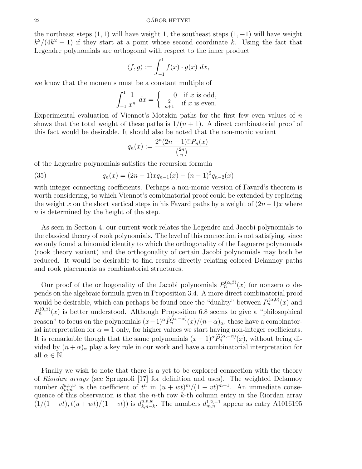the northeast steps  $(1, 1)$  will have weight 1, the southeast steps  $(1, -1)$  will have weight  $k^2/(4k^2-1)$  if they start at a point whose second coordinate k. Using the fact that Legendre polynomials are orthogonal with respect to the inner product

$$
\langle f, g \rangle := \int_{-1}^{1} f(x) \cdot g(x) \, dx,
$$

we know that the moments must be a constant multiple of

$$
\int_{-1}^{1} \frac{1}{x^n} dx = \begin{cases} 0 & \text{if } x \text{ is odd,} \\ \frac{2}{n+1} & \text{if } x \text{ is even.} \end{cases}
$$

Experimental evaluation of Viennot's Motzkin paths for the first few even values of  $n$ shows that the total weight of these paths is  $1/(n+1)$ . A direct combinatorial proof of this fact would be desirable. It should also be noted that the non-monic variant

$$
q_n(x) := \frac{2^n (2n-1)!! P_n(x)}{\binom{2n}{n}}
$$

of the Legendre polynomials satisfies the recursion formula

(35) 
$$
q_n(x) = (2n - 1)xq_{n-1}(x) - (n - 1)^2 q_{n-2}(x)
$$

with integer connecting coefficients. Perhaps a non-monic version of Favard's theorem is worth considering, to which Viennot's combinatorial proof could be extended by replacing the weight x on the short vertical steps in his Favard paths by a weight of  $(2n-1)x$  where n is determined by the height of the step.

As seen in Section 4, our current work relates the Legendre and Jacobi polynomials to the classical theory of rook polynomials. The level of this connection is not satisfying, since we only found a binomial identity to which the orthogonality of the Laguerre polynomials (rook theory variant) and the orthogonality of certain Jacobi polynomials may both be reduced. It would be desirable to find results directly relating colored Delannoy paths and rook placements as combinatorial structures.

Our proof of the orthogonality of the Jacobi polynomials  $P_n^{(\alpha,\beta)}(x)$  for nonzero  $\alpha$  depends on the algebraic formula given in Proposition 3.4. A more direct combinatorial proof would be desirable, which can perhaps be found once the "duality" between  $P_n^{(\alpha,0)}(x)$  and  $P_n^{(0,\beta)}(x)$  is better understood. Although Proposition 6.8 seems to give a "philosophical reason" to focus on the polynomials  $(x-1)^{\alpha} \widetilde{P}_n^{(\alpha,-\alpha)}(x)/(n+\alpha)_{\alpha}$ , these have a combinatorial interpretation for  $\alpha = 1$  only, for higher values we start having non-integer coefficients. It is remarkable though that the same polynomials  $(x-1)^{\alpha} \widetilde{P}_n^{(\alpha,-\alpha)}(x)$ , without being divided by  $(n + \alpha)_{\alpha}$  play a key role in our work and have a combinatorial interpretation for all  $\alpha \in \mathbb{N}$ .

Finally we wish to note that there is a yet to be explored connection with the theory of Riordan arrays (see Sprugnoli [17] for definition and uses). The weighted Delannoy number  $d_{m,n}^{u,v,w}$  is the coefficient of  $t^n$  in  $(u + wt)^m/(1 - vt)^{m+1}$ . An immediate consequence of this observation is that the *n*-th row  $k$ -th column entry in the Riordan array  $(1/(1-vt), t(u+wt)/(1-vt))$  is  $d_{k,n-i}^{u,v,w}$  $_{k,n-k}^{u,v,w}$ . The numbers  $d_{m,n}^{1,2,-1}$  appear as entry A1016195